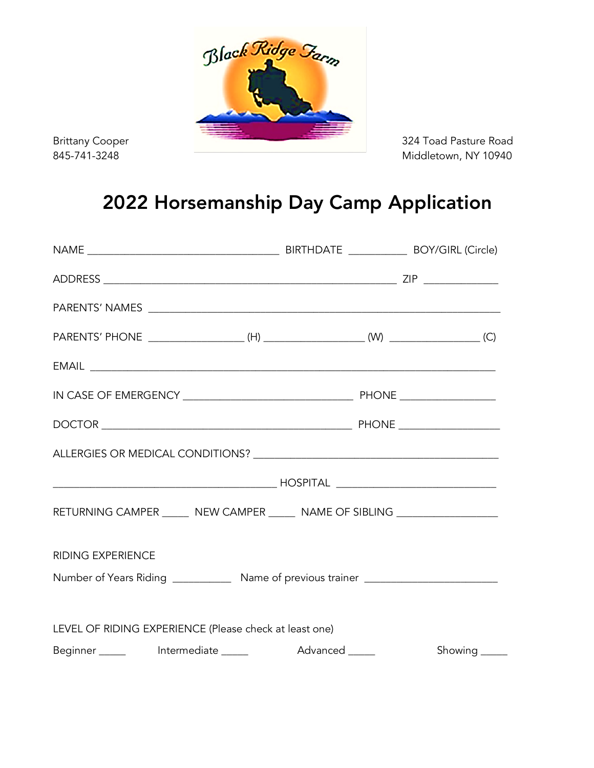

Middletown, NY 10940

## 2022 Horsemanship Day Camp Application

| RETURNING CAMPER ______ NEW CAMPER _____ NAME OF SIBLING _________________        |  |         |
|-----------------------------------------------------------------------------------|--|---------|
| <b>RIDING EXPERIENCE</b>                                                          |  |         |
| Number of Years Riding ______________ Name of previous trainer __________________ |  |         |
|                                                                                   |  |         |
| LEVEL OF RIDING EXPERIENCE (Please check at least one)                            |  |         |
|                                                                                   |  | Showing |